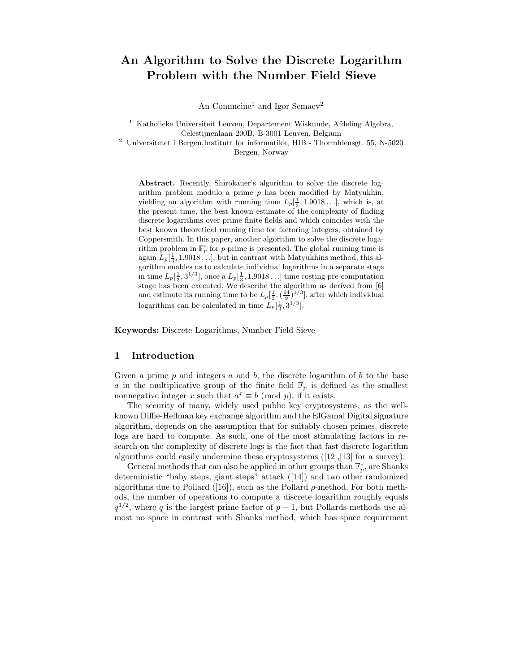# An Algorithm to Solve the Discrete Logarithm Problem with the Number Field Sieve

An Commeine<sup>1</sup> and Igor Semaev<sup>2</sup>

<sup>1</sup> Katholieke Universiteit Leuven, Departement Wiskunde, Afdeling Algebra, Celestijnenlaan 200B, B-3001 Leuven, Belgium  $^{\rm 2}$ Universitetet i Bergen,Institutt for informatikk, HIB - Thormhlensgt. 55, N-5020

Bergen, Norway

Abstract. Recently, Shirokauer's algorithm to solve the discrete logarithm problem modulo a prime  $p$  has been modified by Matyukhin, yielding an algorithm with running time  $L_p[\frac{1}{3}, 1.9018\dots]$ , which is, at the present time, the best known estimate of the complexity of finding discrete logarithms over prime finite fields and which coincides with the best known theoretical running time for factoring integers, obtained by Coppersmith. In this paper, another algorithm to solve the discrete logarithm problem in  $\mathbb{F}_p^*$  for p prime is presented. The global running time is again  $L_p[\frac{1}{3}, 1.9018\dots]$ , but in contrast with Matyukhins method, this algorithm enables us to calculate individual logarithms in a separate stage in time  $L_p[\frac{1}{3}, 3^{1/3}]$ , once a  $L_p[\frac{1}{3}, 1.9018\dots]$  time costing pre-computation stage has been executed. We describe the algorithm as derived from [6] and estimate its running time to be  $L_p[\frac{1}{3}, (\frac{64}{9})^{1/3}]$ , after which individual logarithms can be calculated in time  $L_p[\frac{1}{3}, 3^{1/3}]$ .

Keywords: Discrete Logarithms, Number Field Sieve

## 1 Introduction

Given a prime  $p$  and integers  $a$  and  $b$ , the discrete logarithm of  $b$  to the base a in the multiplicative group of the finite field  $\mathbb{F}_p$  is defined as the smallest nonnegative integer x such that  $a^x \equiv b \pmod{p}$ , if it exists.

The security of many, widely used public key cryptosystems, as the wellknown Diffie-Hellman key exchange algorithm and the ElGamal Digital signature algorithm, depends on the assumption that for suitably chosen primes, discrete logs are hard to compute. As such, one of the most stimulating factors in research on the complexity of discrete logs is the fact that fast discrete logarithm algorithms could easily undermine these cryptosystems ([12],[13] for a survey).

General methods that can also be applied in other groups than  $\mathbb{F}_p^*$ , are Shanks deterministic "baby steps, giant steps" attack ([14]) and two other randomized algorithms due to Pollard ([16]), such as the Pollard  $\rho$ -method. For both methods, the number of operations to compute a discrete logarithm roughly equals  $q^{1/2}$ , where q is the largest prime factor of  $p-1$ , but Pollards methods use almost no space in contrast with Shanks method, which has space requirement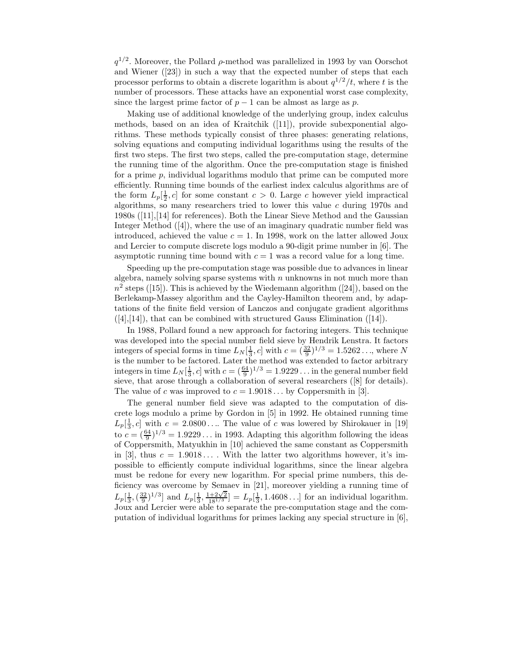$q^{1/2}$ . Moreover, the Pollard  $\rho$ -method was parallelized in 1993 by van Oorschot and Wiener ([23]) in such a way that the expected number of steps that each processor performs to obtain a discrete logarithm is about  $q^{1/2}/t$ , where t is the number of processors. These attacks have an exponential worst case complexity, since the largest prime factor of  $p - 1$  can be almost as large as p.

Making use of additional knowledge of the underlying group, index calculus methods, based on an idea of Kraitchik ([11]), provide subexponential algorithms. These methods typically consist of three phases: generating relations, solving equations and computing individual logarithms using the results of the first two steps. The first two steps, called the pre-computation stage, determine the running time of the algorithm. Once the pre-computation stage is finished for a prime  $p$ , individual logarithms modulo that prime can be computed more efficiently. Running time bounds of the earliest index calculus algorithms are of the form  $L_p\left[\frac{1}{2}, c\right]$  for some constant  $c > 0$ . Large c however yield impractical algorithms, so many researchers tried to lower this value  $c$  during 1970s and 1980s ([11],[14] for references). Both the Linear Sieve Method and the Gaussian Integer Method ([4]), where the use of an imaginary quadratic number field was introduced, achieved the value  $c = 1$ . In 1998, work on the latter allowed Joux and Lercier to compute discrete logs modulo a 90-digit prime number in [6]. The asymptotic running time bound with  $c = 1$  was a record value for a long time.

Speeding up the pre-computation stage was possible due to advances in linear algebra, namely solving sparse systems with  $n$  unknowns in not much more than  $n^2$  steps ([15]). This is achieved by the Wiedemann algorithm ([24]), based on the Berlekamp-Massey algorithm and the Cayley-Hamilton theorem and, by adaptations of the finite field version of Lanczos and conjugate gradient algorithms  $([4],[14])$ , that can be combined with structured Gauss Elimination  $([14])$ .

In 1988, Pollard found a new approach for factoring integers. This technique was developed into the special number field sieve by Hendrik Lenstra. It factors integers of special forms in time  $L_N[\frac{1}{3}, c]$  with  $c = (\frac{32}{9})^{1/3} = 1.5262...$ , where N is the number to be factored. Later the method was extended to factor arbitrary integers in time  $L_N[\frac{1}{3}, c]$  with  $c = (\frac{64}{9})^{1/3} = 1.9229...$  in the general number field sieve, that arose through a collaboration of several researchers ([8] for details). The value of c was improved to  $c = 1.9018...$  by Coppersmith in [3].

The general number field sieve was adapted to the computation of discrete logs modulo a prime by Gordon in [5] in 1992. He obtained running time  $L_p\left[\frac{1}{3}, c\right]$  with  $c = 2.0800...$  The value of c was lowered by Shirokauer in [19] to  $c = (\frac{64}{9})^{1/3} = 1.9229...$  in 1993. Adapting this algorithm following the ideas of Coppersmith, Matyukhin in [10] achieved the same constant as Coppersmith in [3], thus  $c = 1.9018...$ . With the latter two algorithms however, it's impossible to efficiently compute individual logarithms, since the linear algebra must be redone for every new logarithm. For special prime numbers, this deficiency was overcome by Semaev in [21], moreover yielding a running time of  $L_p\left[\frac{1}{3},\left(\frac{32}{9}\right)^{1/3}\right]$  and  $L_p\left[\frac{1}{3},\frac{1+2\sqrt{2}}{18^{1/3}}\right] = L_p\left[\frac{1}{3},1.4608\ldots\right]$  for an individual logarithm. Joux and Lercier were able to separate the pre-computation stage and the computation of individual logarithms for primes lacking any special structure in [6],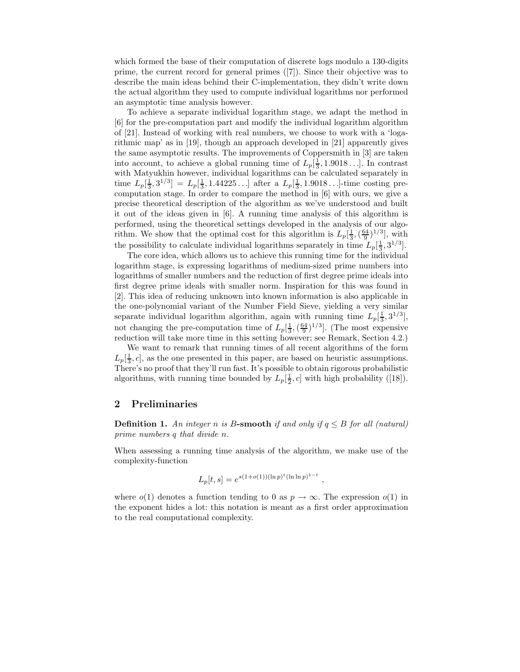which formed the base of their computation of discrete logs modulo a 130-digits prime, the current record for general primes ([7]). Since their objective was to describe the main ideas behind their C-implementation, they didn't write down the actual algorithm they used to compute individual logarithms nor performed an asymptotic time analysis however.

To achieve a separate individual logarithm stage, we adapt the method in [6] for the pre-computation part and modify the individual logarithm algorithm of [21]. Instead of working with real numbers, we choose to work with a 'logarithmic map' as in [19], though an approach developed in [21] apparently gives the same asymptotic results. The improvements of Coppersmith in [3] are taken into account, to achieve a global running time of  $L_p[\frac{1}{3}, 1.9018\dots]$ . In contrast with Matyukhin however, individual logarithms can be calculated separately in time  $L_p[\frac{1}{3}, 3^{1/3}] = L_p[\frac{1}{3}, 1.44225...]$  after a  $L_p[\frac{1}{3}, 1.9018...]$ -time costing precomputation stage. In order to compare the method in [6] with ours, we give a precise theoretical description of the algorithm as we've understood and built it out of the ideas given in [6]. A running time analysis of this algorithm is performed, using the theoretical settings developed in the analysis of our algorithm. We show that the optimal cost for this algorithm is  $L_p[\frac{1}{3},(\frac{64}{9})^{1/3}]$ , with the possibility to calculate individual logarithms separately in time  $L_p[\frac{1}{3}, 3^{1/3}]$ .

The core idea, which allows us to achieve this running time for the individual logarithm stage, is expressing logarithms of medium-sized prime numbers into logarithms of smaller numbers and the reduction of first degree prime ideals into first degree prime ideals with smaller norm. Inspiration for this was found in [2]. This idea of reducing unknown into known information is also applicable in the one-polynomial variant of the Number Field Sieve, yielding a very similar separate individual logarithm algorithm, again with running time  $L_p[\frac{1}{3}, 3^{1/3}],$ not changing the pre-computation time of  $L_p\left[\frac{1}{3},\left(\frac{64}{9}\right)^{1/3}\right]$ . (The most expensive reduction will take more time in this setting however; see Remark, Section 4.2.)

We want to remark that running times of all recent algorithms of the form  $L_p[\frac{1}{3}, c]$ , as the one presented in this paper, are based on heuristic assumptions. There's no proof that they'll run fast. It's possible to obtain rigorous probabilistic algorithms, with running time bounded by  $L_p[\frac{1}{2}, c]$  with high probability ([18]).

# 2 Preliminaries

**Definition 1.** An integer n is B-smooth if and only if  $q \leq B$  for all (natural) prime numbers q that divide n.

When assessing a running time analysis of the algorithm, we make use of the complexity-function

$$
L_p[t,s] = e^{s(1+o(1))(\ln p)^t(\ln \ln p)^{1-t}},
$$

where  $o(1)$  denotes a function tending to 0 as  $p \to \infty$ . The expression  $o(1)$  in the exponent hides a lot: this notation is meant as a first order approximation to the real computational complexity.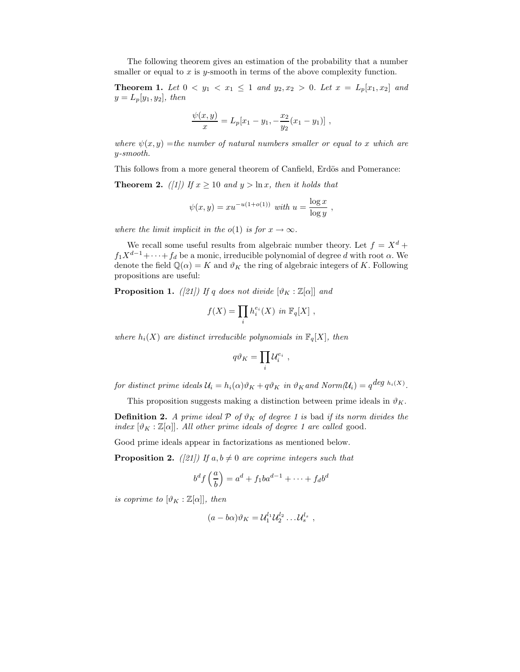The following theorem gives an estimation of the probability that a number smaller or equal to  $x$  is  $y$ -smooth in terms of the above complexity function.

**Theorem 1.** Let  $0 < y_1 < x_1 \leq 1$  and  $y_2, x_2 > 0$ . Let  $x = L_p[x_1, x_2]$  and  $y = L_p[y_1, y_2], \text{ then}$ 

$$
\frac{\psi(x,y)}{x} = L_p[x_1 - y_1, -\frac{x_2}{y_2}(x_1 - y_1)],
$$

where  $\psi(x, y) =$ the number of natural numbers smaller or equal to x which are y-smooth.

This follows from a more general theorem of Canfield, Erdös and Pomerance: **Theorem 2.** ([1]) If  $x \ge 10$  and  $y > \ln x$ , then it holds that

$$
\psi(x,y) = xu^{-u(1+o(1))} \text{ with } u = \frac{\log x}{\log y},
$$

where the limit implicit in the  $o(1)$  is for  $x \to \infty$ .

We recall some useful results from algebraic number theory. Let  $f = X^d +$  $f_1X^{d-1}+\cdots+f_d$  be a monic, irreducible polynomial of degree d with root  $\alpha$ . We denote the field  $\mathbb{Q}(\alpha) = K$  and  $\vartheta_K$  the ring of algebraic integers of K. Following propositions are useful:

**Proposition 1.** ([21]) If q does not divide  $[\vartheta_K : \mathbb{Z}[\alpha]]$  and

$$
f(X) = \prod_i h_i^{e_i}(X) \text{ in } \mathbb{F}_q[X],
$$

where  $h_i(X)$  are distinct irreducible polynomials in  $\mathbb{F}_q[X]$ , then

$$
q\vartheta_K=\prod_i\mathcal{U}_i^{e_i}\ ,
$$

for distinct prime ideals  $\mathcal{U}_i = h_i(\alpha)\vartheta_K + q\vartheta_K$  in  $\vartheta_K$  and  $Norm(\mathcal{U}_i) = q^{deg \; h_i(X)}$ .

This proposition suggests making a distinction between prime ideals in  $\vartheta_K$ .

**Definition 2.** A prime ideal  $P$  of  $\vartheta_K$  of degree 1 is bad if its norm divides the index  $[\vartheta_K : \mathbb{Z}[\alpha]]$ . All other prime ideals of degree 1 are called good.

Good prime ideals appear in factorizations as mentioned below.

**Proposition 2.** ([21]) If  $a, b \neq 0$  are coprime integers such that

$$
b^d f\left(\frac{a}{b}\right) = a^d + f_1 b a^{d-1} + \dots + f_d b^d
$$

is coprime to  $[\vartheta_K : \mathbb{Z}[\alpha]],$  then

$$
(a-b\alpha)\vartheta_K = \mathcal{U}_1^{l_1} \mathcal{U}_2^{l_2} \dots \mathcal{U}_s^{l_s} ,
$$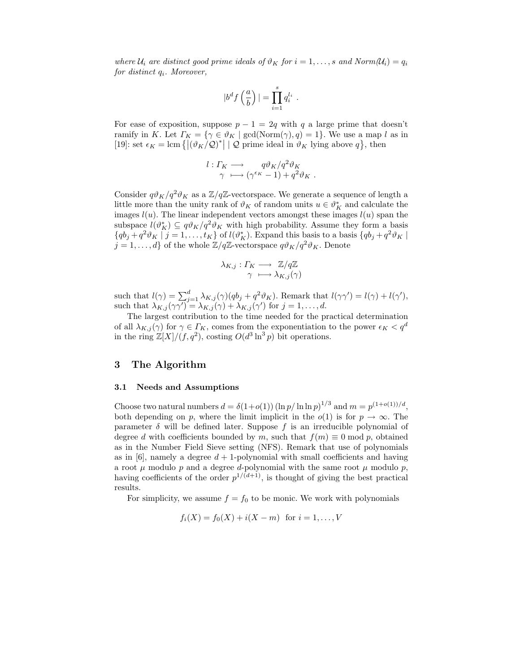where  $U_i$  are distinct good prime ideals of  $\vartheta_K$  for  $i = 1, \ldots, s$  and  $Norm(U_i) = q_i$ for distinct  $q_i$ . Moreover,

$$
|b^df\left(\frac{a}{b}\right)|=\prod_{i=1}^sq_i^{l_i}.
$$

For ease of exposition, suppose  $p - 1 = 2q$  with q a large prime that doesn't ramify in K. Let  $\Gamma_K = \{ \gamma \in \vartheta_K \mid \gcd(\text{Norm}(\gamma), q) = 1 \}.$  We use a map l as in [19]: set  $\epsilon_K = \text{lcm} \{ |(\vartheta_K / Q)^*| | Q \text{ prime ideal in } \vartheta_K \text{ lying above } q \}, \text{ then}$ 

$$
l: \Gamma_K \longrightarrow q\vartheta_K/q^2\vartheta_K
$$
  

$$
\gamma \longmapsto (\gamma^{\epsilon_K} - 1) + q^2\vartheta_K.
$$

Consider  $q\vartheta_K/q^2\vartheta_K$  as a  $\mathbb{Z}/q\mathbb{Z}$ -vectorspace. We generate a sequence of length a little more than the unity rank of  $\vartheta_K$  of random units  $u \in \vartheta_K^*$  and calculate the images  $l(u)$ . The linear independent vectors amongst these images  $l(u)$  span the subspace  $l(\vartheta_K^*) \subseteq q\vartheta_K/q^2\vartheta_K$  with high probability. Assume they form a basis  ${qb_j + q^2 \vartheta_K \mid j = 1, \ldots, t_K}$  of  $l(\vartheta_K^*)$ . Expand this basis to a basis  ${qb_j + q^2 \vartheta_K \mid k}$  $j = 1, \ldots, d$  of the whole  $\mathbb{Z}/q\mathbb{Z}$ -vectorspace  $q\vartheta_K/q^2\vartheta_K$ . Denote

$$
\lambda_{K,j}: \Gamma_K \longrightarrow \mathbb{Z}/q\mathbb{Z} \atop \gamma \longmapsto \lambda_{K,j}(\gamma)
$$

such that  $l(\gamma) = \sum_{j=1}^{d} \lambda_{K,j}(\gamma) (qb_j + q^2 \vartheta_K)$ . Remark that  $l(\gamma \gamma') = l(\gamma) + l(\gamma')$ , such that  $\lambda_{K,j}(\gamma\gamma') = \lambda_{K,j}(\gamma) + \lambda_{K,j}(\gamma')$  for  $j = 1, \ldots, d$ .

The largest contribution to the time needed for the practical determination of all  $\lambda_{K,j}(\gamma)$  for  $\gamma \in \Gamma_K$ , comes from the exponentiation to the power  $\epsilon_K < q^d$ in the ring  $\mathbb{Z}[X]/(f, q^2)$ , costing  $O(d^3 \ln^3 p)$  bit operations.

# 3 The Algorithm

## 3.1 Needs and Assumptions

Choose two natural numbers  $d = \delta(1+o(1)) (\ln p / \ln \ln p)^{1/3}$  and  $m = p^{(1+o(1))/d}$ , both depending on p, where the limit implicit in the  $o(1)$  is for  $p \to \infty$ . The parameter  $\delta$  will be defined later. Suppose f is an irreducible polynomial of degree d with coefficients bounded by m, such that  $f(m) \equiv 0 \mod p$ , obtained as in the Number Field Sieve setting (NFS). Remark that use of polynomials as in [6], namely a degree  $d+1$ -polynomial with small coefficients and having a root  $\mu$  modulo  $p$  and a degree d-polynomial with the same root  $\mu$  modulo  $p$ , having coefficients of the order  $p^{1/(d+1)}$ , is thought of giving the best practical results.

For simplicity, we assume  $f = f_0$  to be monic. We work with polynomials

$$
f_i(X) = f_0(X) + i(X - m)
$$
 for  $i = 1, ..., V$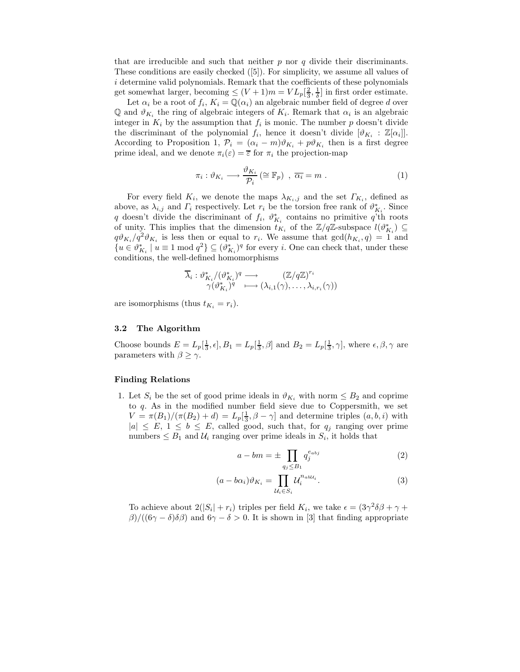that are irreducible and such that neither  $p$  nor  $q$  divide their discriminants. These conditions are easily checked ([5]). For simplicity, we assume all values of i determine valid polynomials. Remark that the coefficients of these polynomials get somewhat larger, becoming  $\leq (V+1)m = VL_p[\frac{2}{3}, \frac{1}{\delta}]$  in first order estimate.

Let  $\alpha_i$  be a root of  $f_i$ ,  $K_i = \mathbb{Q}(\alpha_i)$  an algebraic number field of degree d over Q and  $\vartheta_{K_i}$  the ring of algebraic integers of  $K_i$ . Remark that  $\alpha_i$  is an algebraic integer in  $K_i$  by the assumption that  $f_i$  is monic. The number p doesn't divide the discriminant of the polynomial  $f_i$ , hence it doesn't divide  $[\vartheta_{K_i} : \mathbb{Z}[\alpha_i]].$ According to Proposition 1,  $\mathcal{P}_i = (\alpha_i - m)\vartheta_{K_i} + p\vartheta_{K_i}$  then is a first degree prime ideal, and we denote  $\pi_i(\varepsilon) = \overline{\varepsilon}$  for  $\pi_i$  the projection-map

$$
\pi_i : \vartheta_{K_i} \longrightarrow \frac{\vartheta_{K_i}}{\mathcal{P}_i} \left( \cong \mathbb{F}_p \right) , \overline{\alpha_i} = m . \tag{1}
$$

For every field  $K_i$ , we denote the maps  $\lambda_{K_i,j}$  and the set  $\Gamma_{K_i}$ , defined as above, as  $\lambda_{i,j}$  and  $\Gamma_i$  respectively. Let  $r_i$  be the torsion free rank of  $\vartheta_{K_i}^*$ . Since q doesn't divide the discriminant of  $f_i$ ,  $\vartheta^*_{K_i}$  contains no primitive q'th roots of unity. This implies that the dimension  $t_{K_i}$  of the  $\mathbb{Z}/q\mathbb{Z}$ -subspace  $l(\vartheta_{K_i}^*) \subseteq$  $q\vartheta_{K_i}/q^2\vartheta_{K_i}$  is less then or equal to  $r_i$ . We assume that  $gcd(h_{K_i}, q) = 1$  and  ${u \in \theta_{K_i}^* \mid u \equiv 1 \bmod q^2} \subseteq (\theta_{K_i}^*)^q$  for every *i*. One can check that, under these conditions, the well-defined homomorphisms

$$
\overline{\lambda}_{i} : \vartheta_{K_{i}}^{*} / (\vartheta_{K_{i}}^{*})^{q} \longrightarrow (\mathbb{Z}/q\mathbb{Z})^{r_{i}} \\ \gamma(\vartheta_{K_{i}}^{*})^{q} \longmapsto (\lambda_{i,1}(\gamma), \dots, \lambda_{i,r_{i}}(\gamma))
$$

are isomorphisms (thus  $t_{K_i} = r_i$ ).

## 3.2 The Algorithm

Choose bounds  $E = L_p[\frac{1}{3}, \epsilon], B_1 = L_p[\frac{1}{3}, \beta]$  and  $B_2 = L_p[\frac{1}{3}, \gamma]$ , where  $\epsilon, \beta, \gamma$  are parameters with  $\beta \geq \gamma$ .

#### Finding Relations

1. Let  $S_i$  be the set of good prime ideals in  $\vartheta_{K_i}$  with norm  $\leq B_2$  and coprime to q. As in the modified number field sieve due to Coppersmith, we set  $V = \pi(B_1)/(\pi(B_2) + d) = L_p[\frac{1}{3}, \beta - \gamma]$  and determine triples  $(a, b, i)$  with  $|a| \leq E, 1 \leq b \leq E$ , called good, such that, for  $q_j$  ranging over prime numbers  $\leq B_1$  and  $\mathcal{U}_i$  ranging over prime ideals in  $S_i$ , it holds that

$$
a - bm = \pm \prod_{q_j \le B_1} q_j^{e_{abj}} \tag{2}
$$

$$
(a - b\alpha_i)\vartheta_{K_i} = \prod_{\mathcal{U}_i \in S_i} \mathcal{U}_i^{n_{ab\mathcal{U}_i}}.\tag{3}
$$

To achieve about  $2(|S_i| + r_i)$  triples per field  $K_i$ , we take  $\epsilon = (3\gamma^2\delta\beta + \gamma +$  $\beta$ )/((6γ – δ)δβ) and 6γ – δ > 0. It is shown in [3] that finding appropriate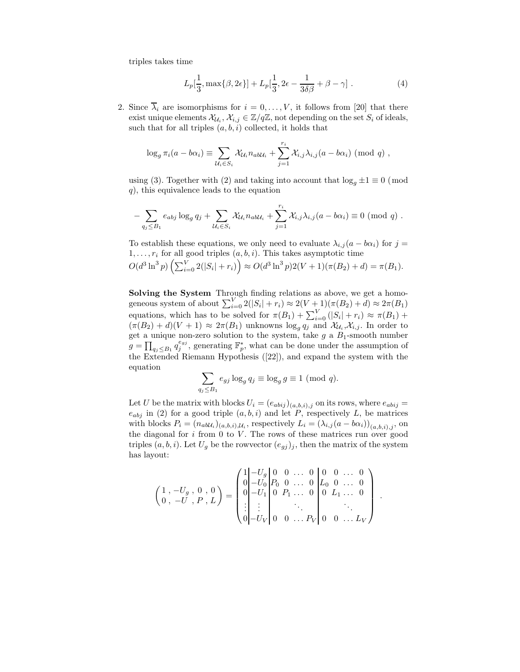triples takes time

$$
L_p[\frac{1}{3}, \max\{\beta, 2\epsilon\}] + L_p[\frac{1}{3}, 2\epsilon - \frac{1}{3\delta\beta} + \beta - \gamma] . \tag{4}
$$

2. Since  $\overline{\lambda}_i$  are isomorphisms for  $i = 0, \ldots, V$ , it follows from [20] that there exist unique elements  $\mathcal{X}_{\mathcal{U}_i}, \mathcal{X}_{i,j} \in \mathbb{Z}/q\mathbb{Z}$ , not depending on the set  $S_i$  of ideals, such that for all triples  $(a, b, i)$  collected, it holds that

$$
\log_g \pi_i(a - b\alpha_i) \equiv \sum_{\mathcal{U}_i \in S_i} \mathcal{X}_{\mathcal{U}_i} n_{ab\mathcal{U}_i} + \sum_{j=1}^{r_i} \mathcal{X}_{i,j} \lambda_{i,j} (a - b\alpha_i) \pmod{q},
$$

using (3). Together with (2) and taking into account that  $\log_q \pm 1 \equiv 0 \pmod{1}$  $q$ , this equivalence leads to the equation

$$
-\sum_{q_j\leq B_1}e_{abj}\log_g q_j+\sum_{\mathcal{U}_i\in S_i}\mathcal{X}_{\mathcal{U}_i}n_{ab\mathcal{U}_i}+\sum_{j=1}^{r_i}\mathcal{X}_{i,j}\lambda_{i,j}(a-b\alpha_i)\equiv 0\;(\bmod\;q).
$$

To establish these equations, we only need to evaluate  $\lambda_{i,j} (a - b\alpha_i)$  for  $j =$  $1, \ldots, r_i$  for all good triples  $(a, b, i)$ . This takes asymptotic time  $O(d^3 \ln^3 p) \left( \sum_{i=0}^V 2(|S_i| + r_i) \right) \approx O(d^3 \ln^3 p) 2(V+1)(\pi(B_2) + d) = \pi(B_1).$ 

Solving the System Through finding relations as above, we get a homogeneous system of about  $\sum_{i=0}^{V} 2(|S_i| + r_i) \approx 2(V+1)(\pi(B_2) + d) \approx 2\pi(B_1)$ equations, which has to be solved for  $\pi(B_1) + \sum_{i=0}^{V} (|S_i| + r_i) \approx \pi(B_1) +$  $(\pi(B_2) + d)(V + 1) \approx 2\pi(B_1)$  unknowns  $\log_g q_j$  and  $\mathcal{X}_{\mathcal{U}_i}, \mathcal{X}_{i,j}$ . In order to get a unique non-zero solution to the system, take  $g$  a  $B_1$ -smooth number  $g = \prod_{q_j \leq B_1} q_j^{e_{gj}}$ , generating  $\mathbb{F}_p^*$ , what can be done under the assumption of the Extended Riemann Hypothesis ([22]), and expand the system with the equation (

$$
\sum_{q_j \le B_1} e_{gj} \log_g q_j \equiv \log_g g \equiv 1 \pmod{q}.
$$

Let U be the matrix with blocks  $U_i = (e_{abij})_{(a,b,i),j}$  on its rows, where  $e_{abij}$  $e_{abj}$  in (2) for a good triple  $(a, b, i)$  and let P, respectively L, be matrices with blocks  $P_i = (n_{ab\mathcal{U}_i})_{(a,b,i),\mathcal{U}_i}$ , respectively  $L_i = (\lambda_{i,j}(a - b\alpha_i))_{(a,b,i),j}$ , on the diagonal for  $i$  from 0 to  $V$ . The rows of these matrices run over good triples  $(a, b, i)$ . Let  $U_g$  be the rowvector  $(e_{gi})_j$ , then the matrix of the system has layout:

$$
\begin{pmatrix} 1 & -U_g & 0 & 0 \\ 0 & -U & 0 & 0 \\ 0 & -U & 0 & 0 \end{pmatrix} = \begin{pmatrix} 1 & -U_g & 0 & 0 & \dots & 0 & 0 & 0 & \dots & 0 \\ 0 & -U_0 & P_0 & 0 & \dots & 0 & L_0 & 0 & \dots & 0 \\ 0 & -U_1 & 0 & P_1 & \dots & 0 & 0 & L_1 & \dots & 0 \\ \vdots & \vdots & \vdots & \ddots & \vdots & \ddots & \vdots & \ddots & \vdots \\ 0 & -U_V & 0 & 0 & \dots & P_V & 0 & 0 & \dots & L_V \end{pmatrix}
$$

.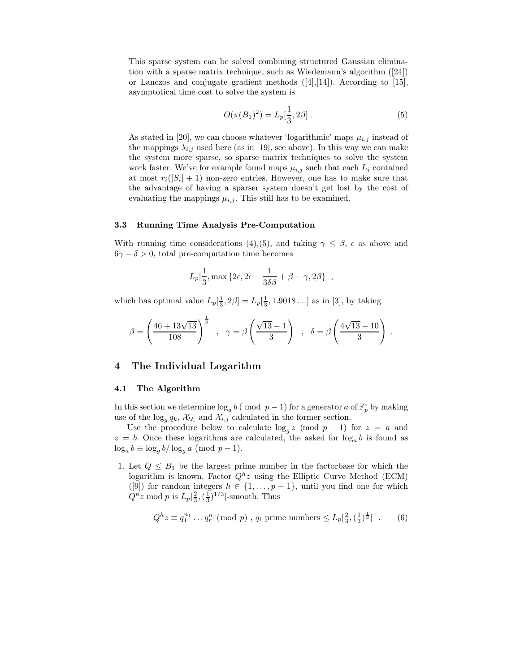This sparse system can be solved combining structured Gaussian elimination with a sparse matrix technique, such as Wiedemann's algorithm ([24]) or Lanczos and conjugate gradient methods ([4],[14]). According to [15], asymptotical time cost to solve the system is

$$
O(\pi(B_1)^2) = L_p[\frac{1}{3}, 2\beta] . \tag{5}
$$

As stated in [20], we can choose whatever 'logarithmic' maps  $\mu_{i,j}$  instead of the mappings  $\lambda_{i,j}$  used here (as in [19], see above). In this way we can make the system more sparse, so sparse matrix techniques to solve the system work faster. We've for example found maps  $\mu_{i,j}$  such that each  $L_i$  contained at most  $r_i(|S_i| + 1)$  non-zero entries. However, one has to make sure that the advantage of having a sparser system doesn't get lost by the cost of evaluating the mappings  $\mu_{i,j}$ . This still has to be examined.

## 3.3 Running Time Analysis Pre-Computation

With running time considerations (4),(5), and taking  $\gamma \leq \beta$ ,  $\epsilon$  as above and  $6\gamma - \delta > 0$ , total pre-computation time becomes

$$
L_p[\frac{1}{3}, \max\{2\epsilon, 2\epsilon - \frac{1}{3\delta\beta} + \beta - \gamma, 2\beta\}],
$$

which has optimal value  $L_p[\frac{1}{3}, 2\beta] = L_p[\frac{1}{3}, 1.9018\dots]$  as in [3], by taking

$$
\beta = \left(\frac{46 + 13\sqrt{13}}{108}\right)^{\frac{1}{3}}, \quad \gamma = \beta \left(\frac{\sqrt{13} - 1}{3}\right), \quad \delta = \beta \left(\frac{4\sqrt{13} - 10}{3}\right).
$$

## 4 The Individual Logarithm

## 4.1 The Algorithm

In this section we determine  $\log_a b$  (mod  $p-1$ ) for a generator a of  $\mathbb{F}_p^*$  by making use of the  $\log_q q_k$ ,  $\mathcal{X}_{\mathcal{U}_i}$  and  $\mathcal{X}_{i,j}$  calculated in the former section.

Use the procedure below to calculate  $\log_q z$  (mod  $p-1$ ) for  $z = a$  and  $z = b$ . Once these logarithms are calculated, the asked for  $\log_a b$  is found as  $\log_a b \equiv \log_a b / \log_a a$  (mod  $p - 1$ ).

1. Let  $Q \leq B_1$  be the largest prime number in the factorbase for which the logarithm is known. Factor  $Q^h z$  using the Elliptic Curve Method (ECM) ([9]) for random integers  $h \in \{1, \ldots, p-1\}$ , until you find one for which  $Q^h z \bmod p$  is  $L_p\left[\frac{2}{3}, \left(\frac{1}{3}\right)^{1/3}\right]$ -smooth. Thus

$$
Q^{h} z \equiv q_1^{n_1} \dots q_r^{n_r} \pmod{p}, \ q_i \text{ prime numbers} \le L_p[\frac{2}{3}, (\frac{1}{3})^{\frac{1}{3}}] . \tag{6}
$$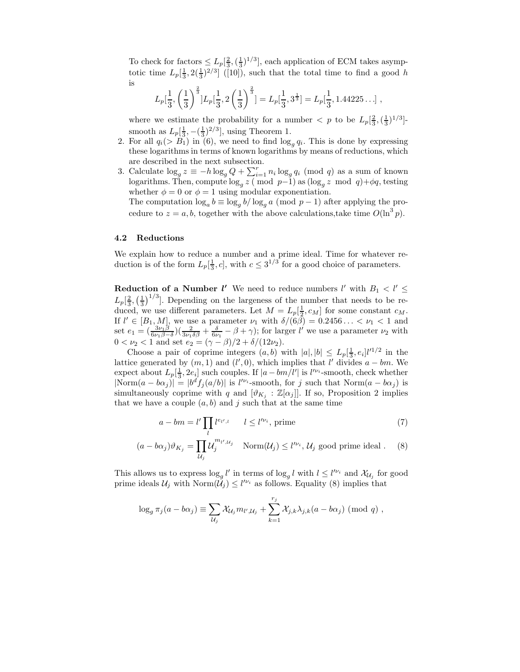To check for factors  $\leq L_p\left[\frac{2}{3},\left(\frac{1}{3}\right)^{1/3}\right]$ , each application of ECM takes asymptotic time  $L_p\left[\frac{1}{3}, 2(\frac{1}{3})^{2/3}\right]$  ([10]), such that the total time to find a good h is

$$
L_p[\frac{1}{3}, \left(\frac{1}{3}\right)^{\frac{2}{3}}]L_p[\frac{1}{3}, 2\left(\frac{1}{3}\right)^{\frac{2}{3}}] = L_p[\frac{1}{3}, 3^{\frac{1}{3}}] = L_p[\frac{1}{3}, 1.44225...],
$$

where we estimate the probability for a number  $\langle p \rangle$  to be  $L_p\left[\frac{2}{3}, \left(\frac{1}{3}\right)^{1/3}\right]$ smooth as  $L_p[\frac{1}{3}, -(\frac{1}{3})^{2/3}]$ , using Theorem 1.

- 2. For all  $q_i(> B_1)$  in (6), we need to find  $\log_q q_i$ . This is done by expressing these logarithms in terms of known logarithms by means of reductions, which are described in the next subsection.
- 3. Calculate  $\log_g z \equiv -h \log_g Q + \sum_{i=1}^r n_i \log_g q_i \pmod{q}$  as a sum of known logarithms. Then, compute  $\log_{g} z$  (mod p−1) as  $(\log_{g} z \mod q) + \phi q$ , testing whether  $\phi = 0$  or  $\phi = 1$  using modular exponentiation.

The computation  $\log_a b \equiv \log_q b / \log_q a$  (mod  $p-1$ ) after applying the procedure to  $z = a, b$ , together with the above calculations, take time  $O(\ln^3 p)$ .

## 4.2 Reductions

We explain how to reduce a number and a prime ideal. Time for whatever reduction is of the form  $L_p[\frac{1}{3}, c]$ , with  $c \leq 3^{1/3}$  for a good choice of parameters.

**Reduction of a Number l'** We need to reduce numbers l' with  $B_1 < l' \leq$  $L_p\left[\frac{2}{3},\left(\frac{1}{3}\right)^{1/3}\right]$ . Depending on the largeness of the number that needs to be reduced, we use different parameters. Let  $M = L_p[\frac{1}{2}, c_M]$  for some constant  $c_M$ . If  $l' \in [B_1, M]$ , we use a parameter  $\nu_1$  with  $\delta/(6\beta) = 0.2456... < \nu_1 < 1$  and set  $e_1 = \left(\frac{3\nu_1\beta}{6\nu_1\beta-\delta}\right)\left(\frac{2}{3\nu_1\delta\beta}+\frac{\delta}{6\nu_1\delta\beta}-\beta+\gamma\right)$ ; for larger l' we use a parameter  $\nu_2$  with  $0 < \nu_2 < 1$  and set  $e_2 = (\gamma - \beta)/2 + \delta/(12\nu_2)$ .

Choose a pair of coprime integers  $(a, b)$  with  $|a|, |b| \le L_p[\frac{1}{3}, e_i]^{1/2}$  in the lattice generated by  $(m, 1)$  and  $(l', 0)$ , which implies that l' divides  $a - bm$ . We expect about  $L_p\left[\frac{1}{3}, 2e_i\right]$  such couples. If  $|a - bm/l'|$  is  $l'^{\nu_i}$ -smooth, check whether  $|\text{Norm}(a - b\alpha_j)| = |b^d f_j(a/b)|$  is  $l^{\nu_i}$ -smooth, for j such that  $\text{Norm}(a - b\alpha_j)$  is simultaneously coprime with q and  $[\vartheta_{K_i} : \mathbb{Z}[\alpha_j]]$ . If so, Proposition 2 implies that we have a couple  $(a, b)$  and j such that at the same time

$$
a - bm = l' \prod_{l} l^{e_{l',l}} \qquad l \le l'^{\nu_i}, \text{ prime}
$$
\n
$$
(7)
$$

$$
(a - b\alpha_j)\vartheta_{K_j} = \prod_{\mathcal{U}_j} \mathcal{U}_j^{m_{l'}, \mathcal{U}_j} \quad \text{Norm}(\mathcal{U}_j) \le l'^{\nu_i}, \mathcal{U}_j \text{ good prime ideal}. \tag{8}
$$

This allows us to express  $\log_g l'$  in terms of  $\log_g l$  with  $l \leq l'^{\nu_i}$  and  $\mathcal{X}_{\mathcal{U}_j}$  for good prime ideals  $\mathcal{U}_j$  with  $\text{Norm}(\tilde{\mathcal{U}}_j) \leq l^{\prime \nu_i}$  as follows. Equality (8) implies that

$$
\log_g \pi_j(a - b\alpha_j) \equiv \sum_{\mathcal{U}_j} \mathcal{X}_{\mathcal{U}_j} m_{\mathcal{U}, \mathcal{U}_j} + \sum_{k=1}^{r_j} \mathcal{X}_{j,k} \lambda_{j,k} (a - b\alpha_j) \pmod{q},
$$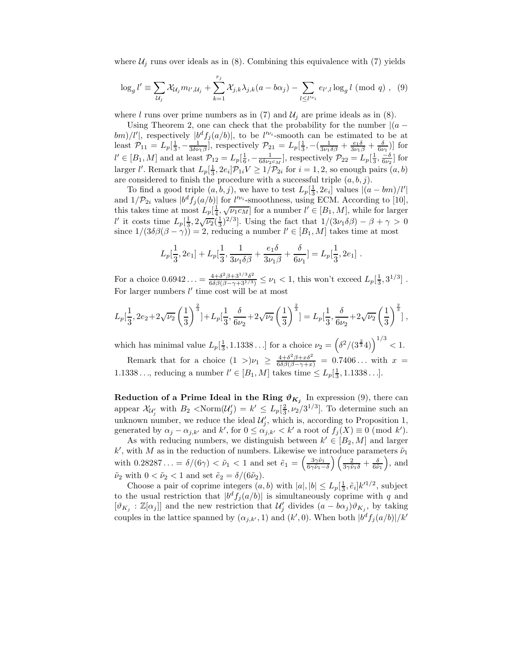where  $\mathcal{U}_i$  runs over ideals as in (8). Combining this equivalence with (7) yields

$$
\log_g l' \equiv \sum_{\mathcal{U}_j} \mathcal{X}_{\mathcal{U}_j} m_{l',\mathcal{U}_j} + \sum_{k=1}^{r_j} \mathcal{X}_{j,k} \lambda_{j,k} (a - b\alpha_j) - \sum_{l \le l'^{\nu_i}} e_{l',l} \log_g l \pmod{q}, \quad (9)
$$

where l runs over prime numbers as in (7) and  $\mathcal{U}_j$  are prime ideals as in (8).

Using Theorem 2, one can check that the probability for the number  $|(a$ bm)/l', respectively  $|b^d f_j(a/b)|$ , to be  $l'^{\nu_i}$ -smooth can be estimated to be at least  $\mathcal{P}_{11} = L_p[\frac{1}{3}, -\frac{1}{3\delta\nu_1\beta}],$  respectively  $\mathcal{P}_{21} = L_p[\frac{1}{3}, -(\frac{1}{3\nu_1\delta\beta} + \frac{e_1\delta}{3\nu_1\beta} + \frac{\delta}{6\nu_1})]$  for  $l' \in [B_1, M]$  and at least  $\mathcal{P}_{12} = L_p[\frac{1}{6}, -\frac{1}{6\delta\nu_2 c_M}]$ , respectively  $\mathcal{P}_{22} = L_p[\frac{1}{3}, \frac{-\delta}{6\nu_2}]$  for larger l'. Remark that  $L_p[\frac{1}{3}, 2e_i]\mathcal{P}_{1i}V \ge 1/\mathcal{P}_{2i}$  for  $i = 1, 2$ , so enough pairs  $(a, b)$ are considered to finish the procedure with a successful triple  $(a, b, j)$ .

To find a good triple  $(a, b, j)$ , we have to test  $L_p[\frac{1}{3}, 2e_i]$  values  $|(a - bm)/l'|$ and  $1/\mathcal{P}_{2i}$  values  $|b^d f_j(a/b)|$  for  $l^{\prime \nu_i}$ -smoothness, using ECM. According to [10], this takes time at most  $L_p\left[\frac{1}{4},\sqrt{\nu_1c_M}\right]$  for a number  $l' \in [B_1,M]$ , while for larger l' it costs time  $L_p\left[\frac{1}{3}, 2\sqrt{\nu_2}(\frac{1}{3})^{2/3}\right]$ . Using the fact that  $1/(3\nu_1\delta\beta) - \beta + \gamma > 0$ since  $1/(3\delta\beta(\beta-\gamma))=2$ , reducing a number  $l' \in [B_1, M]$  takes time at most

$$
L_p[\frac{1}{3}, 2e_1] + L_p[\frac{1}{3}, \frac{1}{3\nu_1\delta\beta} + \frac{e_1\delta}{3\nu_1\beta} + \frac{\delta}{6\nu_1}] = L_p[\frac{1}{3}, 2e_1].
$$

For a choice  $0.6942... = \frac{4+6^2\beta+3^{1/3}\delta^2}{6\delta\beta(\beta-\gamma+3^{1/3})} \leq \nu_1 < 1$ , this won't exceed  $L_p[\frac{1}{3}, 3^{1/3}]$ . For larger numbers  $l'$  time cost will be at most

$$
L_p\left[\frac{1}{3}, 2e_2 + 2\sqrt{\nu_2}\left(\frac{1}{3}\right)^{\frac{2}{3}}\right] + L_p\left[\frac{1}{3}, \frac{\delta}{6\nu_2} + 2\sqrt{\nu_2}\left(\frac{1}{3}\right)^{\frac{2}{3}}\right] = L_p\left[\frac{1}{3}, \frac{\delta}{6\nu_2} + 2\sqrt{\nu_2}\left(\frac{1}{3}\right)^{\frac{2}{3}}\right],
$$

which has minimal value  $L_p[\frac{1}{3}, 1.1338...]$  for a choice  $\nu_2 = (\delta^2/(3^{\frac{2}{3}}4))^{1/3} < 1$ .

Remark that for a choice  $(1 >)\nu_1 \geq \frac{4+\delta^2\beta+x\delta^2}{6\delta\beta(\beta-\gamma+x)} = 0.7406...$  with  $x =$ 1.1338..., reducing a number  $l' \in [B_1, M]$  takes time  $\leq L_p[\frac{1}{3}, 1.1338...]$ .

**Reduction of a Prime Ideal in the Ring**  $\vartheta_{K_j}$  In expression (9), there can appear  $\mathcal{X}_{\mathcal{U}'_j}$  with  $B_2 < \text{Norm}(\mathcal{U}'_j) = k' \leq L_p[\frac{2}{3}, \nu_2/3^{1/3}]$ . To determine such an unknown number, we reduce the ideal  $\mathcal{U}'_j$ , which is, according to Proposition 1, generated by  $\alpha_j - \alpha_{j,k'}$  and  $k'$ , for  $0 \leq \alpha_{j,k'} < k'$  a root of  $f_j(X) \equiv 0 \pmod{k'}$ .

As with reducing numbers, we distinguish between  $k' \in [B_2, M]$  and larger  $k'$ , with M as in the reduction of numbers. Likewise we introduce parameters  $\tilde{\nu}_1$ with  $0.28287... = \delta/(6\gamma) < \tilde{\nu}_1 < 1$  and set  $\tilde{e}_1 = \left(\frac{3\gamma\tilde{\nu}_1}{6\gamma\tilde{\nu}_1 - 1}\right)$  $6\gamma\tilde{\nu}_1-\delta$  $\left(\frac{2}{3\gamma\tilde\nu_1\delta}+\frac{\delta}{6\tilde\nu_1}\right)$  $\Big)$ , and  $\tilde{\nu}_2$  with  $0 < \tilde{\nu}_2 < 1$  and set  $\tilde{e}_2 = \delta/(6\tilde{\nu}_2)$ .

Choose a pair of coprime integers  $(a, b)$  with  $|a|, |b| \le L_p[\frac{1}{3}, \tilde{e}_i]k'^{1/2}$ , subject to the usual restriction that  $|b^d f_j(a/b)|$  is simultaneously coprime with q and  $[\vartheta_{K_j} : \mathbb{Z}[\alpha_j]]$  and the new restriction that  $\mathcal{U}'_j$  divides  $(a - b\alpha_j)\vartheta_{K_j}$ , by taking couples in the lattice spanned by  $(\alpha_{j,k'}, 1)$  and  $(k', 0)$ . When both  $|b^d f_j(a/b)|/k'$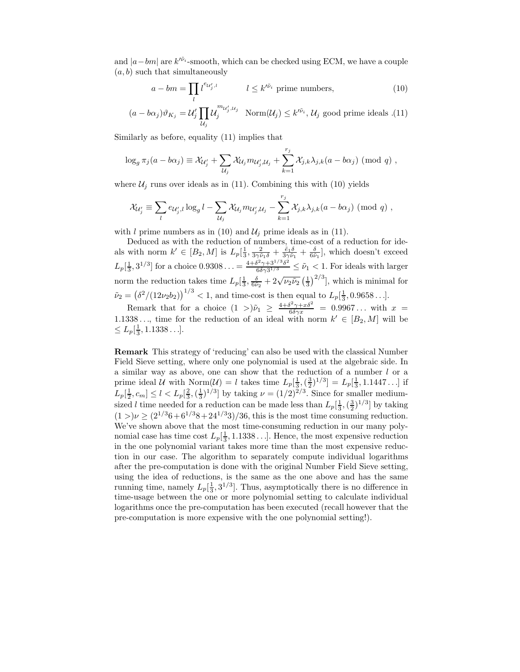and  $|a-bm|$  are  $k^{\prime \tilde{\nu}_i}$ -smooth, which can be checked using ECM, we have a couple  $(a, b)$  such that simultaneously

$$
a - bm = \prod_{l} l^{e_{\mathcal{U}'_j,l}} \qquad l \le k'^{\tilde{\nu}_i} \text{ prime numbers}, \qquad (10)
$$

$$
(a - b\alpha_j)\vartheta_{K_j} = \mathcal{U}'_j \prod_{\mathcal{U}_j} \mathcal{U}_j^{m_{\mathcal{U}'_j, \mathcal{U}_j}} \quad \text{Norm}(\mathcal{U}_j) \le k'^{\tilde{\nu}_i}, \mathcal{U}_j \text{ good prime ideals } .(11)
$$

Similarly as before, equality (11) implies that

$$
\log_g \pi_j(a - b\alpha_j) \equiv \mathcal{X}_{\mathcal{U}_j'} + \sum_{\mathcal{U}_j} \mathcal{X}_{\mathcal{U}_j} m_{\mathcal{U}_j', \mathcal{U}_j} + \sum_{k=1}^{r_j} \mathcal{X}_{j,k} \lambda_{j,k} (a - b\alpha_j) \pmod{q},
$$

where  $\mathcal{U}_j$  runs over ideals as in (11). Combining this with (10) yields

$$
\mathcal{X}_{\mathcal{U}'_j} \equiv \sum_l e_{\mathcal{U}'_j,l} \log_g l - \sum_{\mathcal{U}_j} \mathcal{X}_{\mathcal{U}_j} m_{\mathcal{U}'_j,\mathcal{U}_j} - \sum_{k=1}^{r_j} \mathcal{X}_{j,k} \lambda_{j,k} (a - b\alpha_j) \pmod{q},
$$

with l prime numbers as in (10) and  $\mathcal{U}_i$  prime ideals as in (11).

Deduced as with the reduction of numbers, time-cost of a reduction for ideals with norm  $k' \in [B_2, M]$  is  $L_p[\frac{1}{3}, \frac{2}{3\gamma\tilde{\nu}_1\delta} + \frac{\tilde{e}_1\delta}{3\gamma\tilde{\nu}_1} + \frac{\delta}{6\tilde{\nu}_1}]$ , which doesn't exceed  $L_p[\frac{1}{3}, 3^{1/3}]$  for a choice  $0.9308... = \frac{4 + \delta^2 \gamma + 3^{1/3} \delta^2}{6 \delta \gamma 3^{1/3}} \leq \tilde{\nu}_1 < 1$ . For ideals with larger norm the reduction takes time  $L_p[\frac{1}{3}, \frac{\delta}{6\tilde{\nu}_2} + 2\sqrt{\nu_2\tilde{\nu}_2} (\frac{1}{3})^{2/3}]$ , which is minimal for  $\tilde{\nu}_2 = (\delta^2/(12\nu_2b_2))^{1/3} < 1$ , and time-cost is then equal to  $L_p[\frac{1}{3}, 0.9658...]$ .

Remark that for a choice  $(1 >)\tilde{\nu}_1 \geq \frac{4+\delta^2\gamma+x\delta^2}{6\delta\gamma x} = 0.9967...$  with  $x =$ 1.1338..., time for the reduction of an ideal with norm  $k' \in [B_2, M]$  will be  $\leq L_p[\frac{1}{3}, 1.1338...].$ 

Remark This strategy of 'reducing' can also be used with the classical Number Field Sieve setting, where only one polynomial is used at the algebraic side. In a similar way as above, one can show that the reduction of a number l or a prime ideal U with Norm $(U) = l$  takes time  $L_p[\frac{1}{3}, \frac{3}{2}]^{1/3} = L_p[\frac{1}{3}, 1.1447...]$  if  $L_p[\frac{1}{2}, c_m] \le l < L_p[\frac{2}{3}, (\frac{1}{3})^{1/3}]$  by taking  $\nu = (1/2)^{2/3}$ . Since for smaller mediumsized l time needed for a reduction can be made less than  $L_p[\frac{1}{3},(\frac{3}{2})^{1/3}]$  by taking  $(1 >)\nu \geq (2^{1/3}6+6^{1/3}8+24^{1/3}3)/36$ , this is the most time consuming reduction. We've shown above that the most time-consuming reduction in our many polynomial case has time cost  $L_p[\frac{1}{3}, 1.1338\dots]$ . Hence, the most expensive reduction in the one polynomial variant takes more time than the most expensive reduction in our case. The algorithm to separately compute individual logarithms after the pre-computation is done with the original Number Field Sieve setting, using the idea of reductions, is the same as the one above and has the same running time, namely  $L_p[\frac{1}{3}, 3^{1/3}]$ . Thus, asymptotically there is no difference in time-usage between the one or more polynomial setting to calculate individual logarithms once the pre-computation has been executed (recall however that the pre-computation is more expensive with the one polynomial setting!).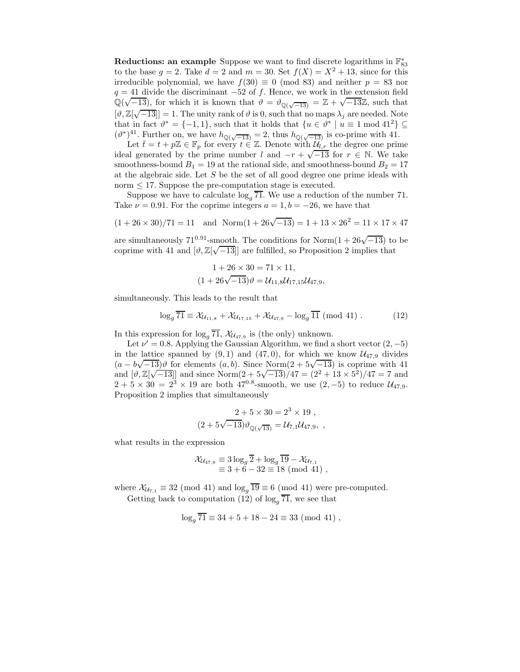Reductions: an example Suppose we want to find discrete logarithms in  $\mathbb{F}_{83}^*$ to the base  $g = 2$ . Take  $d = 2$  and  $m = 30$ . Set  $f(X) = X^2 + 13$ , since for this irreducible polynomial, we have  $f(30) \equiv 0 \pmod{83}$  and neither  $p = 83$  nor  $q = 41$  divide the discriminant  $-52$  of f. Hence, we work in the extension field  $\mathbb{Q}(\sqrt{-13})$ , for which it is known that  $\vartheta = \vartheta_{\mathbb{Q}(\sqrt{-13})} = \mathbb{Z} + \sqrt{-13}\mathbb{Z}$ , such that  $[\vartheta, \mathbb{Z}[\sqrt{-13}]] = 1$ . The unity rank of  $\vartheta$  is 0, such that no maps  $\lambda_j$  are needed. Note that in fact  $\vartheta^* = \{-1, 1\}$ , such that it holds that  $\{u \in \vartheta^* \mid u \equiv 1 \mod 41^2\} \subseteq$  $(\vartheta^*)^{41}$ . Further on, we have  $h_{\mathbb{Q}(\sqrt{-13})} = 2$ , thus  $h_{\mathbb{Q}(\sqrt{-13})}$  is co-prime with 41.

Let  $\bar{t} = t + p\mathbb{Z} \in \mathbb{F}_p$  for every  $t \in \mathbb{Z}$ . Denote with  $\mathcal{U}_{t,r}$  the degree one prime ideal generated by the prime number l and  $-r + \sqrt{-13}$  for  $r \in \mathbb{N}$ . We take smoothness-bound  $B_1 = 19$  at the rational side, and smoothness-bound  $B_2 = 17$ at the algebraic side. Let  $S$  be the set of all good degree one prime ideals with norm  $\leq$  17. Suppose the pre-computation stage is executed.

Suppose we have to calculate  $\log_q \overline{71}$ . We use a reduction of the number 71. Take  $\nu = 0.91$ . For the coprime integers  $a = 1, b = -26$ , we have that

$$
(1+26\times30)/71=11 \quad\text{and}\quad \text{Norm}(1+26\sqrt{-13})=1+13\times26^2=11\times17\times47
$$

are simultaneously  $71^{0.91}$ -smooth. The conditions for Norm $(1 + 26\sqrt{-13})$  to be coprime with 41 and  $[\vartheta, \mathbb{Z}[\sqrt{-13}]]$  are fulfilled, so Proposition 2 implies that

$$
1 + 26 \times 30 = 71 \times 11,
$$
  

$$
(1 + 26\sqrt{-13})\theta = \mathcal{U}_{11,8}\mathcal{U}_{17,15}\mathcal{U}_{47,9},
$$

simultaneously. This leads to the result that

$$
\log_g \overline{71} \equiv \mathcal{X}_{\mathcal{U}_{11,8}} + \mathcal{X}_{\mathcal{U}_{17,15}} + \mathcal{X}_{\mathcal{U}_{47,9}} - \log_g \overline{11} \; (\text{mod } 41) \; . \tag{12}
$$

In this expression for  $\log_q \overline{71}$ ,  $\mathcal{X}_{U_{47,9}}$  is (the only) unknown.

Let  $\nu' = 0.8$ . Applying the Gaussian Algorithm, we find a short vector  $(2, -5)$ in the lattice spanned by  $(9, 1)$  and  $(47, 0)$ , for which we know  $\mathcal{U}_{47,9}$  divides  $(a - b\sqrt{-13})\vartheta$  for elements  $(a, b)$ . Since Norm $(2 + 5\sqrt{-13})$  is coprime with 41 and  $[\vartheta, \mathbb{Z}[\sqrt{-13}]]$  and since Norm $(2 + 5\sqrt{-13})/47 = (2^2 + 13 \times 5^2)/47 = 7$  and  $2 + 5 \times 30 = 2^3 \times 19$  are both 47<sup>0.8</sup>-smooth, we use  $(2, -5)$  to reduce  $\mathcal{U}_{47.9}$ . Proposition 2 implies that simultaneously

$$
2 + 5 \times 30 = 23 \times 19 ,
$$
  

$$
(2 + 5\sqrt{-13})\vartheta_{\mathbb{Q}(\sqrt{13})} = \mathcal{U}_{7,1}\mathcal{U}_{47,9}, ,
$$

what results in the expression

$$
\mathcal{X}_{\mathcal{U}_{47,9}} \equiv 3 \log_g \overline{2} + \log_g \overline{19} - \mathcal{X}_{\mathcal{U}_{7,1}} \equiv 3 + 6 - 32 \equiv 18 \pmod{41} ,
$$

where  $\mathcal{X}_{\mathcal{U}_{7,1}} \equiv 32 \pmod{41}$  and  $\log_q \overline{19} \equiv 6 \pmod{41}$  were pre-computed. Getting back to computation (12) of  $\log_{g} \overline{71}$ , we see that

$$
\log_g \overline{71} \equiv 34 + 5 + 18 - 24 \equiv 33 \pmod{41},
$$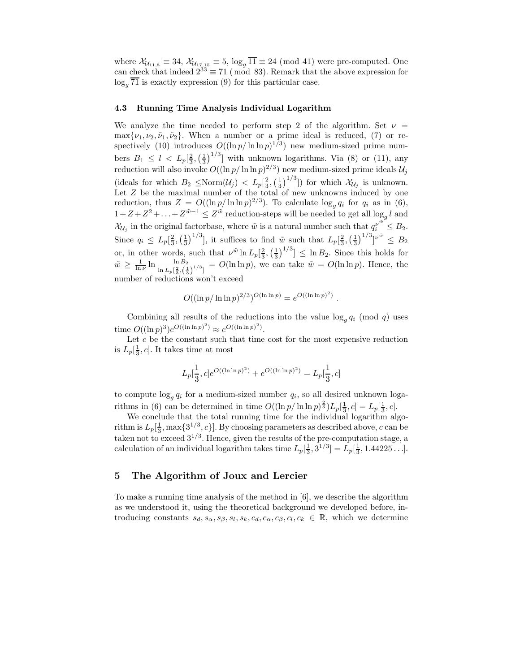where  $\mathcal{X}_{\mathcal{U}_{11,8}} \equiv 34$ ,  $\mathcal{X}_{\mathcal{U}_{17,15}} \equiv 5$ ,  $\log_g \overline{11} \equiv 24 \pmod{41}$  were pre-computed. One can check that indeed  $2^{33} \equiv 71 \pmod{83}$ . Remark that the above expression for  $\log_a 71$  is exactly expression (9) for this particular case.

## 4.3 Running Time Analysis Individual Logarithm

We analyze the time needed to perform step 2 of the algorithm. Set  $\nu =$  $\max\{\nu_1,\nu_2,\tilde{\nu}_1,\tilde{\nu}_2\}$ . When a number or a prime ideal is reduced, (7) or respectively (10) introduces  $O((\ln p/\ln \ln p)^{1/3})$  new medium-sized prime numbers  $B_1 \leq l \leq L_p\left[\frac{2}{3}, \left(\frac{1}{3}\right)^{1/3}\right]$  with unknown logarithms. Via (8) or (11), any reduction will also invoke  $O((\ln p/\ln\ln p)^{2/3})$  new medium-sized prime ideals  $\mathcal{U}_j$ (ideals for which  $B_2 \leq \text{Norm}(\mathcal{U}_j) < L_p[\frac{2}{3}, (\frac{1}{3})^{1/3}]$ ) for which  $\mathcal{X}_{\mathcal{U}_j}$  is unknown. Let Z be the maximal number of the total of new unknowns induced by one reduction, thus  $Z = O((\ln p/\ln \ln p)^{2/3})$ . To calculate  $\log_g q_i$  for  $q_i$  as in (6),  $1+Z+Z^2+\ldots+Z^{w-1}\leq Z^w$  reduction-steps will be needed to get all  $\log_q l$  and  $\mathcal{X}_{\mathcal{U}_j}$  in the original factorbase, where  $\tilde{w}$  is a natural number such that  $q_i^{\nu^{\tilde{w}}} \leq B_2$ . Since  $q_i \leq L_p[\frac{2}{3}, (\frac{1}{3})^{1/3}]$ , it suffices to find  $\tilde{w}$  such that  $L_p[\frac{2}{3}, (\frac{1}{3})^{1/3}]^{\nu \tilde{w}} \leq B_2$ or, in other words, such that  $\nu^{\tilde{w}} \ln L_p[\frac{2}{3}, (\frac{1}{3})^{1/3}] \leq \ln B_2$ . Since this holds for  $\tilde{w} \ge \frac{1}{\ln \nu} \ln \frac{\ln B_2}{\ln L_p[\frac{2}{3},(\frac{1}{3})^{1/3}]} = O(\ln \ln p)$ , we can take  $\tilde{w} = O(\ln \ln p)$ . Hence, the number of reductions won't exceed

$$
O((\ln p/\ln \ln p)^{2/3})^{O(\ln \ln p)} = e^{O((\ln \ln p)^2)}.
$$

Combining all results of the reductions into the value  $\log_q q_i \pmod{q}$  uses time  $O((\ln p)^3)e^{O((\ln \ln p)^2)} \approx e^{O((\ln \ln p)^2)}$ .

Let  $c$  be the constant such that time cost for the most expensive reduction is  $L_p[\frac{1}{3}, c]$ . It takes time at most

$$
L_p[\frac{1}{3},c]e^{O((\ln\ln p)^2)} + e^{O((\ln\ln p)^2)} = L_p[\frac{1}{3},c]
$$

to compute  $\log_q q_i$  for a medium-sized number  $q_i$ , so all desired unknown logarithms in (6) can be determined in time  $O((\ln p/\ln \ln p)^{\frac{2}{3}})L_p[\frac{1}{3}, c] = L_p[\frac{1}{3}, c]$ .

We conclude that the total running time for the individual logarithm algorithm is  $L_p[\frac{1}{3}, \max\{3^{1/3}, c\}]$ . By choosing parameters as described above, c can be taken not to exceed  $3^{1/3}$ . Hence, given the results of the pre-computation stage, a calculation of an individual logarithm takes time  $L_p[\frac{1}{3}, 3^{1/3}] = L_p[\frac{1}{3}, 1.44225...]$ .

# 5 The Algorithm of Joux and Lercier

To make a running time analysis of the method in [6], we describe the algorithm as we understood it, using the theoretical background we developed before, introducing constants  $s_d, s_\alpha, s_\beta, s_l, s_k, c_d, c_\alpha, c_\beta, c_l, c_k \in \mathbb{R}$ , which we determine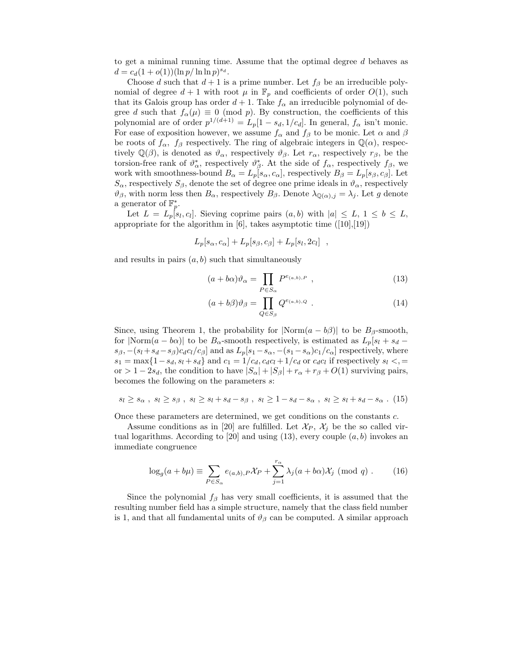to get a minimal running time. Assume that the optimal degree d behaves as  $d = c_d(1 + o(1))(\ln p/\ln \ln p)^{s_d}.$ 

Choose d such that  $d+1$  is a prime number. Let  $f_{\beta}$  be an irreducible polynomial of degree  $d+1$  with root  $\mu$  in  $\mathbb{F}_p$  and coefficients of order  $O(1)$ , such that its Galois group has order  $d+1$ . Take  $f_{\alpha}$  an irreducible polynomial of degree d such that  $f_{\alpha}(\mu) \equiv 0 \pmod{p}$ . By construction, the coefficients of this polynomial are of order  $p^{1/(d+1)} = L_p[1 - s_d, 1/c_d]$ . In general,  $f_\alpha$  isn't monic. For ease of exposition however, we assume  $f_{\alpha}$  and  $f_{\beta}$  to be monic. Let  $\alpha$  and  $\beta$ be roots of  $f_{\alpha}$ ,  $f_{\beta}$  respectively. The ring of algebraic integers in  $\mathbb{Q}(\alpha)$ , respectively  $\mathbb{Q}(\beta)$ , is denoted as  $\vartheta_{\alpha}$ , respectively  $\vartheta_{\beta}$ . Let  $r_{\alpha}$ , respectively  $r_{\beta}$ , be the torsion-free rank of  $\vartheta^*_{\alpha}$ , respectively  $\vartheta^*_{\beta}$ . At the side of  $f_{\alpha}$ , respectively  $f_{\beta}$ , we work with smoothness-bound  $B_{\alpha} = L_p[s_{\alpha}, c_{\alpha}]$ , respectively  $B_{\beta} = L_p[s_{\beta}, c_{\beta}]$ . Let  $S_{\alpha}$ , respectively  $S_{\beta}$ , denote the set of degree one prime ideals in  $\vartheta_{\alpha}$ , respectively  $\vartheta_{\beta}$ , with norm less then  $B_{\alpha}$ , respectively  $B_{\beta}$ . Denote  $\lambda_{\mathbb{Q}(\alpha),j} = \lambda_j$ . Let g denote a generator of  $\mathbb{F}_p^*$ .

Let  $L = L_p[s_l, c_l]$ . Sieving coprime pairs  $(a, b)$  with  $|a| \leq L$ ,  $1 \leq b \leq L$ , appropriate for the algorithm in  $[6]$ , takes asymptotic time  $([10],[19])$ 

$$
L_p[s_\alpha, c_\alpha] + L_p[s_\beta, c_\beta] + L_p[s_l, 2c_l],
$$

and results in pairs  $(a, b)$  such that simultaneously

$$
(a+b\alpha)\vartheta_{\alpha} = \prod_{P \in S_{\alpha}} P^{e_{(a,b),P}} , \qquad (13)
$$

$$
(a+b\beta)\vartheta_{\beta} = \prod_{Q \in S_{\beta}} Q^{e_{(a,b),Q}} . \tag{14}
$$

Since, using Theorem 1, the probability for  $|Norm(a - b\beta)|$  to be  $B_\beta$ -smooth, for  $|Norm(a - b\alpha)|$  to be  $B_{\alpha}$ -smooth respectively, is estimated as  $L_p[s_l + s_d$  $s_\beta, -(s_l+s_d-s_\beta)c_d c_l/c_\beta]$  and as  $L_p[s_1-s_\alpha, -(s_1-s_\alpha)c_1/c_\alpha]$  respectively, where  $s_1 = \max\{1-s_d, s_l + s_d\}$  and  $c_1 = 1/c_d, c_d c_l + 1/c_d$  or  $c_d c_l$  if respectively  $s_l <$ , = or > 1 – 2s<sub>d</sub>, the condition to have  $|S_{\alpha}| + |S_{\beta}| + r_{\alpha} + r_{\beta} + O(1)$  surviving pairs, becomes the following on the parameters s:

$$
s_l \geq s_\alpha \ , \ s_l \geq s_\beta \ , \ s_l \geq s_l + s_d - s_\beta \ , \ s_l \geq 1 - s_d - s_\alpha \ , \ s_l \geq s_l + s_d - s_\alpha \ . \ (15)
$$

Once these parameters are determined, we get conditions on the constants c.

Assume conditions as in [20] are fulfilled. Let  $\mathcal{X}_P$ ,  $\mathcal{X}_i$  be the so called virtual logarithms. According to [20] and using (13), every couple  $(a, b)$  invokes an immediate congruence

$$
\log_g(a+b\mu) \equiv \sum_{P \in S_{\alpha}} e_{(a,b),P} \mathcal{X}_P + \sum_{j=1}^{r_{\alpha}} \lambda_j (a+b\alpha) \mathcal{X}_j \pmod{q} . \tag{16}
$$

Since the polynomial  $f_\beta$  has very small coefficients, it is assumed that the resulting number field has a simple structure, namely that the class field number is 1, and that all fundamental units of  $\vartheta_{\beta}$  can be computed. A similar approach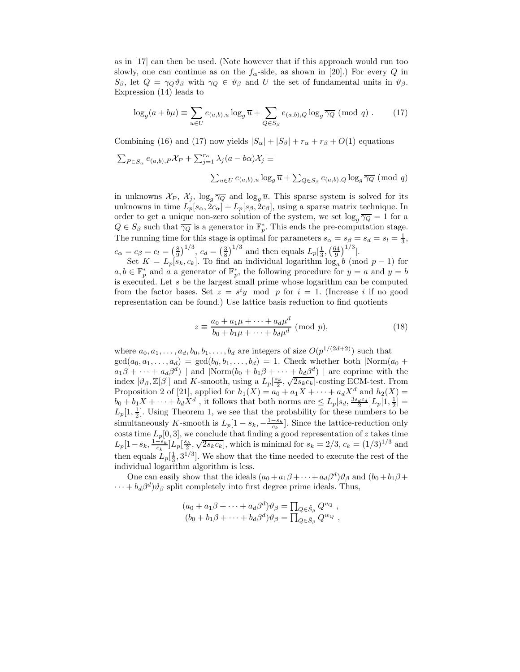as in [17] can then be used. (Note however that if this approach would run too slowly, one can continue as on the  $f_{\alpha}$ -side, as shown in [20].) For every Q in  $S_{\beta}$ , let  $Q = \gamma_Q \vartheta_{\beta}$  with  $\gamma_Q \in \vartheta_{\beta}$  and U the set of fundamental units in  $\vartheta_{\beta}$ . Expression (14) leads to

$$
\log_g(a+b\mu) \equiv \sum_{u \in U} e_{(a,b),u} \log_g \overline{u} + \sum_{Q \in S_\beta} e_{(a,b),Q} \log_g \overline{\gamma_Q} \pmod{q} . \tag{17}
$$

Combining (16) and (17) now yields  $|S_{\alpha}| + |S_{\beta}| + r_{\alpha} + r_{\beta} + O(1)$  equations

$$
\sum_{P \in S_{\alpha}} e_{(a,b),P} \mathcal{X}_P + \sum_{j=1}^{r_{\alpha}} \lambda_j (a - b\alpha) \mathcal{X}_j \equiv
$$
  

$$
\sum_{u \in U} e_{(a,b),u} \log_g \overline{u} + \sum_{Q \in S_{\beta}} e_{(a,b),Q} \log_g \overline{\gamma_Q} \pmod{q}
$$

in unknowns  $\mathcal{X}_P$ ,  $\mathcal{X}_j$ ,  $\log_q \overline{\gamma_Q}$  and  $\log_q \overline{u}$ . This sparse system is solved for its unknowns in time  $L_p[s_\alpha, 2c_\alpha] + L_p[s_\beta, 2c_\beta]$ , using a sparse matrix technique. In order to get a unique non-zero solution of the system, we set  $\log_q \overline{\gamma_Q} = 1$  for a  $Q \in S_{\beta}$  such that  $\overline{\gamma_Q}$  is a generator in  $\mathbb{F}_p^*$ . This ends the pre-computation stage. The running time for this stage is optimal for parameters  $s_{\alpha} = s_{\beta} = s_d = s_l = \frac{1}{3}$ ,  $c_{\alpha} = c_{\beta} = c_l = \left(\frac{8}{9}\right)^{1/3}, c_d = \left(\frac{3}{8}\right)^{1/3}$  and then equals  $L_p\left[\frac{1}{3}, \left(\frac{64}{9}\right)^{1/3}\right]$ .

Set  $K = L_p[s_k, c_k]$ . To find an individual logarithm  $\log_a b$  (mod  $p-1$ ) for  $a, b \in \mathbb{F}_p^*$  and a a generator of  $\mathbb{F}_p^*$ , the following procedure for  $y = a$  and  $y = b$ is executed. Let  $s$  be the largest small prime whose logarithm can be computed from the factor bases. Set  $z = s^i y \mod p$  for  $i = 1$ . (Increase i if no good representation can be found.) Use lattice basis reduction to find quotients

$$
z \equiv \frac{a_0 + a_1 \mu + \dots + a_d \mu^d}{b_0 + b_1 \mu + \dots + b_d \mu^d} \text{ (mod } p),\tag{18}
$$

where  $a_0, a_1, \ldots, a_d, b_0, b_1, \ldots, b_d$  are integers of size  $O(p^{1/(2d+2)})$  such that  $gcd(a_0, a_1, \ldots, a_d) = gcd(b_0, b_1, \ldots, b_d) = 1$ . Check whether both  $\lvert Norm(a_0 +$  $a_1\beta + \cdots + a_d\beta^d$  | and  $\text{Norm}(b_0 + b_1\beta + \cdots + b_d\beta^d)$  | are coprime with the index  $[\vartheta_{\beta}, \mathbb{Z}[\beta]]$  and K-smooth, using a  $L_p[\frac{s_k}{2}, \sqrt{2s_kc_k}]$ -costing ECM-test. From Proposition 2 of [21], applied for  $h_1(X) = a_0 + a_1X + \cdots + a_dX^d$  and  $h_2(X) =$  $b_0 + b_1 X + \cdots + b_d X^d$ , it follows that both norms are  $\leq L_p[s_d, \frac{3s_d c_d}{2}]L_p[1, \frac{1}{2}] =$  $L_p[1, \frac{1}{2}]$ . Using Theorem 1, we see that the probability for these numbers to be simultaneously K-smooth is  $L_p[1 - s_k, -\frac{1-s_k}{c_k}]$ . Since the lattice-reduction only costs time  $L_p[0,3]$ , we conclude that finding a good representation of z takes time  $L_p[1-s_k, \frac{1-s_k}{c_k}]L_p[\frac{s_k}{2}, \sqrt{2s_kc_k}]$ , which is minimal for  $s_k = 2/3$ ,  $c_k = (1/3)^{1/3}$  and then equals  $L_p[\frac{1}{3}, 3^{1/3}]$ . We show that the time needed to execute the rest of the individual logarithm algorithm is less.

One can easily show that the ideals  $(a_0 + a_1\beta + \cdots + a_d\beta^d)\vartheta_\beta$  and  $(b_0 + b_1\beta + \cdots + b_d\beta^d)\vartheta_\beta$  $\cdots + b_d \beta^d$ ) $\vartheta_\beta$  split completely into first degree prime ideals. Thus,

$$
(a_0 + a_1\beta + \cdots + a_d\beta^d)\vartheta_\beta = \prod_{Q \in \tilde{S}_\beta} Q^{\nu_Q} ,(b_0 + b_1\beta + \cdots + b_d\beta^d)\vartheta_\beta = \prod_{Q \in \tilde{S}_\beta} Q^{\nu_Q} ,
$$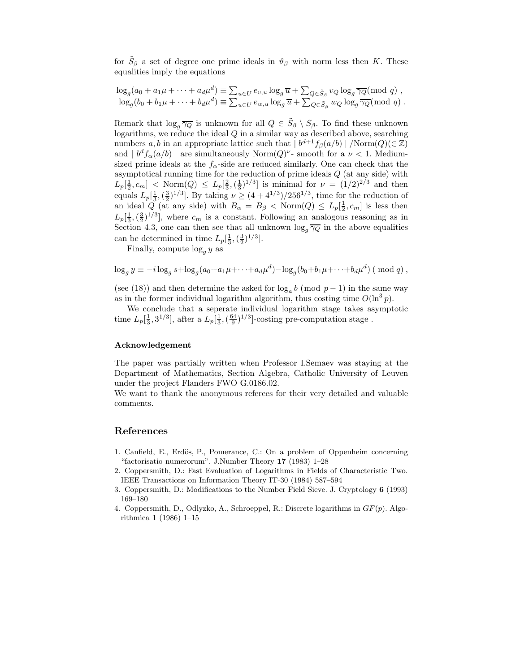for  $\tilde{S}_{\beta}$  a set of degree one prime ideals in  $\vartheta_{\beta}$  with norm less then K. These equalities imply the equations

$$
\log_g(a_0 + a_1\mu + \dots + a_d\mu^d) \equiv \sum_{u \in U} e_{v,u} \log_g \overline{u} + \sum_{Q \in \tilde{S}_{\beta}} v_Q \log_g \overline{\gamma_Q} \pmod{q},
$$
  

$$
\log_g(b_0 + b_1\mu + \dots + b_d\mu^d) \equiv \sum_{u \in U} e_{w,u} \log_g \overline{u} + \sum_{Q \in \tilde{S}_{\beta}} w_Q \log_g \overline{\gamma_Q} \pmod{q}.
$$

Remark that  $\log_q \overline{\gamma_Q}$  is unknown for all  $Q \in \widetilde{S}_{\beta} \setminus S_{\beta}$ . To find these unknown logarithms, we reduce the ideal  $Q$  in a similar way as described above, searching numbers a, b in an appropriate lattice such that  $|b^{d+1}f_\beta(a/b)|/Norm(Q)(\in \mathbb{Z})$ and  $|b^df_\alpha(a/b)|$  are simultaneously Norm $(Q)^\nu$ - smooth for a  $\nu < 1$ . Mediumsized prime ideals at the  $f_{\alpha}$ -side are reduced similarly. One can check that the asymptotical running time for the reduction of prime ideals Q (at any side) with  $L_p[\frac{1}{2}, c_m] < \text{Norm}(Q) \le L_p[\frac{2}{3}, (\frac{1}{3})^{1/3}]$  is minimal for  $\nu = (1/2)^{2/3}$  and then equals  $L_p[\frac{1}{3},(\frac{3}{2})^{1/3}]$ . By taking  $\nu \ge (4 + 4^{1/3})/256^{1/3}$ , time for the reduction of an ideal  $Q$  (at any side) with  $B_{\alpha} = B_{\beta} < \text{Norm}(Q) \leq L_p[\frac{1}{2}, c_m]$  is less then  $L_p\left[\frac{1}{3},\left(\frac{3}{2}\right)^{1/3}\right]$ , where  $c_m$  is a constant. Following an analogous reasoning as in Section 4.3, one can then see that all unknown  $\log_q \overline{\gamma_Q}$  in the above equalities can be determined in time  $L_p[\frac{1}{3},(\frac{3}{2})^{1/3}]$ .

Finally, compute  $\log_q y$  as

$$
\log_g y \equiv -i \log_g s + \log_g (a_0 + a_1 \mu + \dots + a_d \mu^d) - \log_g (b_0 + b_1 \mu + \dots + b_d \mu^d) \pmod{q},
$$

(see (18)) and then determine the asked for  $log_a b \pmod{p-1}$  in the same way as in the former individual logarithm algorithm, thus costing time  $O(\ln^3 p)$ .

We conclude that a seperate individual logarithm stage takes asymptotic time  $L_p[\frac{1}{3}, 3^{1/3}]$ , after a  $L_p[\frac{1}{3}, (\frac{64}{9})^{1/3}]$ -costing pre-computation stage.

## Acknowledgement

The paper was partially written when Professor I.Semaev was staying at the Department of Mathematics, Section Algebra, Catholic University of Leuven under the project Flanders FWO G.0186.02.

We want to thank the anonymous referees for their very detailed and valuable comments.

## References

- 1. Canfield, E., Erdös, P., Pomerance, C.: On a problem of Oppenheim concerning "factorisatio numerorum". J.Number Theory 17 (1983) 1–28
- 2. Coppersmith, D.: Fast Evaluation of Logarithms in Fields of Characteristic Two. IEEE Transactions on Information Theory IT-30 (1984) 587–594
- 3. Coppersmith, D.: Modifications to the Number Field Sieve. J. Cryptology 6 (1993) 169–180
- 4. Coppersmith, D., Odlyzko, A., Schroeppel, R.: Discrete logarithms in  $GF(p)$ . Algorithmica 1 (1986) 1–15